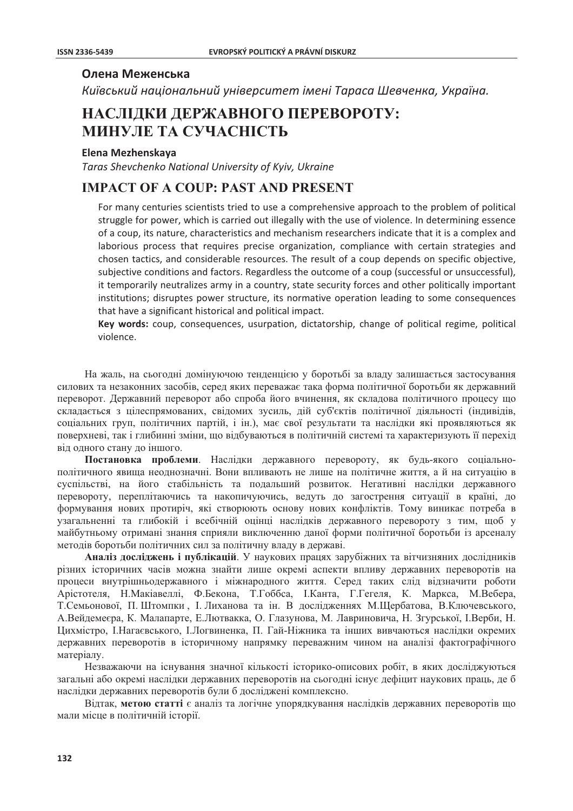### Олена Меженська

Київський національний університет імені Тараса Шевченка, Україна.

# НАСЛІДКИ ДЕРЖАВНОГО ПЕРЕВОРОТУ: МИНУЛЕ ТА СУЧАСНІСТЬ

#### Elena Mezhenskaya

Taras Shevchenko National University of Kyiv, Ukraine

## **IMPACT OF A COUP: PAST AND PRESENT**

For many centuries scientists tried to use a comprehensive approach to the problem of political struggle for power, which is carried out illegally with the use of violence. In determining essence of a coup, its nature, characteristics and mechanism researchers indicate that it is a complex and laborious process that requires precise organization, compliance with certain strategies and chosen tactics, and considerable resources. The result of a coup depends on specific objective. subjective conditions and factors. Regardless the outcome of a coup (successful or unsuccessful), it temporarily neutralizes army in a country, state security forces and other politically important institutions; disruptes power structure, its normative operation leading to some consequences that have a significant historical and political impact.

Key words: coup, consequences, usurpation, dictatorship, change of political regime, political violence

На жаль, на сьогодні домінуючою тенденцією у боротьбі за владу залишається застосування силових та незаконних засобів, серед яких переважає така форма політичної боротьби як державний переворот. Державний переворот або спроба його вчинення, як складова політичного процесу що складається з цілеспрямованих, свідомих зусиль, дій суб'єктів політичної діяльності (індивідів, соціальних груп, політичних партій, і ін.), має свої результати та наслідки які проявляються як поверхневі, так і глибинні зміни, що відбуваються в політичній системі та характеризують її перехід від одного стану до іншого.

Постановка проблеми. Наслідки державного перевороту, як будь-якого соціальнополітичного явища неоднозначні. Вони впливають не лише на політичне життя, а й на ситуацію в суспільстві, на його стабільність та подальший розвиток. Негативні наслідки державного перевороту, переплітаючись та накопичуючись, ведуть до загострення ситуації в країні, до формування нових протиріч, які створюють основу нових конфліктів. Тому виникає потреба в узагальненні та глибокій і всебічній оцінці наслідків державного перевороту з тим, щоб у майбутньому отримані знання сприяли виключенню даної форми політичної боротьби із арсеналу метолів боротьби політичних сил за політичну владу в державі.

Аналіз досліджень і публікацій. У наукових працях зарубіжних та вітчизняних дослідників різних історичних часів можна знайти лише окремі аспекти впливу державних переворотів на процеси внутрішньодержавного і міжнародного життя. Серед таких слід відзначити роботи Арістотеля, Н. Макіавеллі, Ф. Бекона, Т. Гоббса, І. Канта, Г. Гегеля, К. Маркса, М. Вебера, Т. Семьонової, П. Штомпки, І. Лиханова та ін. В дослідженнях М. Щербатова, В. Ключевського, А.Вейдемеєра, К. Малапарте, Е.Лютвакка, О. Глазунова, М. Лавриновича, Н. Згурської, І.Верби, Н. Пихмістро, І.Нагаєвського, І.Логвиненка, П. Гай-Ніжника та інших вивчаються наслідки окремих державних переворотів в історичному напрямку переважним чином на аналізі фактографічного матеріалу.

Незважаючи на існування значної кількості історико-описових робіт, в яких досліджуються загальні або окремі наслідки державних переворотів на сьогодні існує дефіцит наукових праць, де б наслідки державних переворотів були б досліджені комплексно.

Відтак, метою статті є аналіз та логічне упорядкування наслідків державних переворотів що мали місце в політичній історії.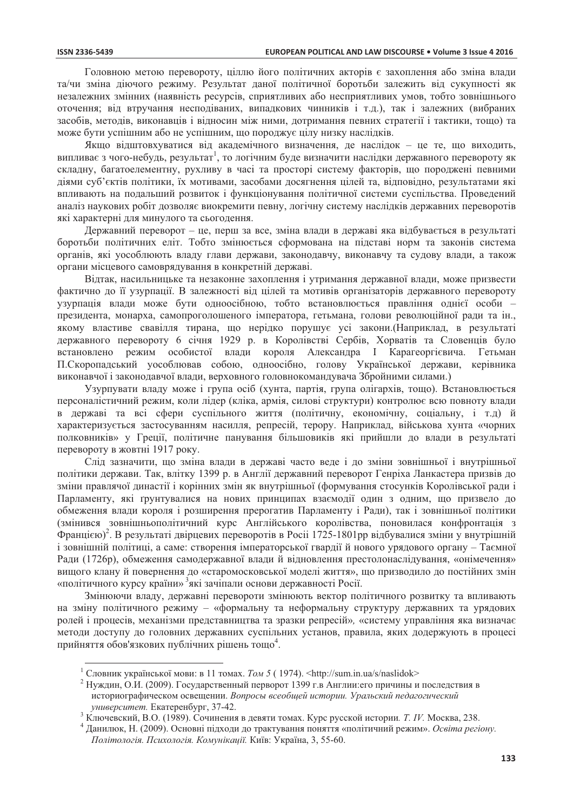Головною метою перевороту, піллю його політичних акторів є захоплення або зміна влади та/чи зміна діючого режиму. Результат даної політичної боротьби залежить від сукупності як незалежних змінних (наявність ресурсів, сприятливих або несприятливих умов, тобто зовнішнього оточення; від втручання несподіваних, випадкових чинників і т.д.), так і залежних (вибраних засобів, методів, виконавців і відносин між ними, дотримання певних стратегії і тактики, тощо) та може бути успішним або не успішним, що породжує цілу низку наслілків.

Якщо відштовхуватися від академічного визначення, де наслідок - це те, що виходить, випливає з чого-небудь, результат<sup>1</sup>, то логічним буде визначити наслідки державного перевороту як складну, багатоелементну, рухливу в часі та просторі систему факторів, що породжені певними діями суб'єктів політики, їх мотивами, засобами досягнення цілей та, відповідно, результатами які впливають на подальший розвиток і функціонування політичної системи суспільства. Проведений аналіз наукових робіт дозволяє виокремити певну, логічну систему наслідків державних переворотів які характерні для минулого та сьогодення.

Державний переворот – це, перш за все, зміна влади в державі яка відбувається в результаті боротьби політичних еліт. Тобто змінюється сформована на підставі норм та законів система органів, які уособлюють владу глави держави, законодавчу, виконавчу та судову влади, а також органи місцевого самоврядування в конкретній державі.

Відтак, насильницьке та незаконне захоплення і утримання державної влади, може призвести фактично до її узурпації. В залежності від цілей та мотивів організаторів державного перевороту узурпація влади може бути одноосібною, тобто встановлюється правління однієї особи президента, монарха, самопроголошеного імператора, гетьмана, голови революційної ради та ін., якому властиве свавілля тирана, що нерідко порушує усі закони. (Наприклад, в результаті державного перевороту 6 січня 1929 р. в Королівстві Сербів, Хорватів та Словенців було встановлено режим особистої влади короля Александра I Карагеоргієвича. Гетьман П. Скоропадський уособлював собою, одноосібно, голову Української держави, керівника виконавчої і законодавчої влади, верховного головнокомандувача Збройними силами.)

Узурпувати владу може і група осіб (хунта, партія, група олігархів, тощо). Встановлюється персоналістичний режим, коли лідер (кліка, армія, силові структури) контролює всю повноту влади в державі та всі сфери суспільного життя (політичну, економічну, соціальну, і т.д) й характеризується застосуванням насилля, репресій, терору. Наприклад, військова хунта «чорних полковників» у Греції, політичне панування більшовиків які прийшли до влади в результаті перевороту в жовтні 1917 року.

Слід зазначити, що зміна влади в державі часто веде і до зміни зовнішньої і внутрішньої політики держави. Так, влітку 1399 р. в Англії державний переворот Генріха Ланкастера призвів до зміни правлячої династії і корінних змін як внутрішньої (формування стосунків Королівської ради і Парламенту, які ґрунтувалися на нових принципах взаємодії один з одним, що призвело до обмеження влади короля і розширення прерогатив Парламенту і Ради), так і зовнішньої політики (змінився зовнішньополітичний курс Англійського королівства, поновилася конфронтація з Францією)<sup>2</sup>. В результаті двірцевих переворотів в Росіі 1725-1801 рр відбувалися зміни у внутрішній і зовнішній політиці, а саме: створення імператорської гвардії й нового урядового органу - Таємної Ради (1726р), обмеження самодержавної влади й відновлення престолонаслідування, «онімечення» вищого клану й повернення до «старомосковської моделі життя», що призводило до постійних змін «політичного курсу країни»<sup>3</sup>які зачіпали основи державності Росії.

Змінюючи владу, державні перевороти змінюють вектор політичного розвитку та впливають на зміну політичного режиму - «формальну та неформальну структуру державних та урядових ролей і процесів, механізми представництва та зразки репресій», «систему управління яка визначає методи доступу до головних державних суспільних установ, правила, яких додержують в процесі прийняття обов'язкових публічних рішень тощо<sup>4</sup>.

<sup>&</sup>lt;sup>1</sup> Словник української мови: в 11 томах. *Том 5* (1974). <http://sum.in.ua/s/naslidok>

<sup>2</sup> Нуждин, О.И. (2009). Государственный перворот 1399 г.в Англии: его причины и последствия в историографическом освещении. Вопросы всеобщей истории. Уральский педагогический университет. Екатеренбург, 37-42.

<sup>3</sup> Ключевский, В.О. (1989). Сочинения в девяти томах. Курс русской истории. *Т. IV.* Москва, 238.

<sup>&</sup>lt;sup>4</sup> Данилюк, Н. (2009). Основні підходи до трактування поняття «політичний режим». Освіта регіону. Політологія. Психологія. Комунікації. Київ: Україна, 3, 55-60.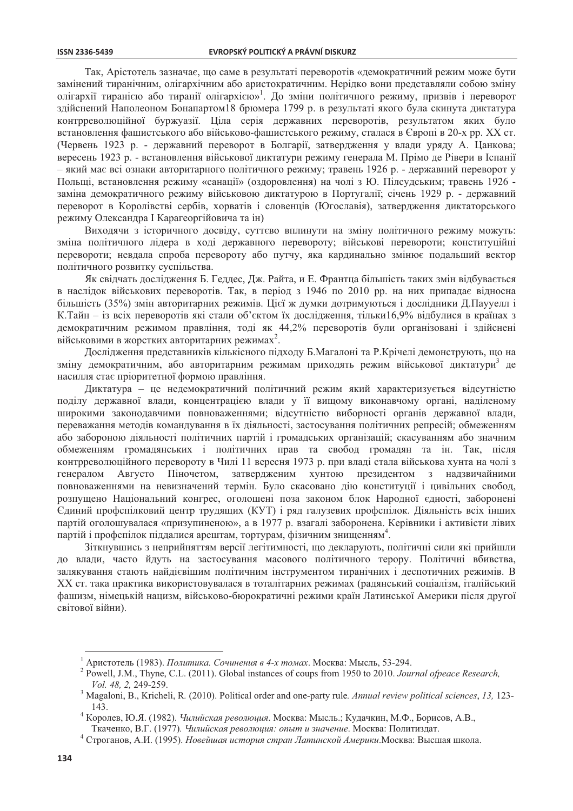Так. Арістотель зазначає, що саме в результаті переворотів «демократичний режим може бути замінений тиранічним, олігархічним або аристократичним. Нерідко вони представляли собою зміну олігархії тиранією або тиранії олігархією»<sup>1</sup>. До зміни політичного режиму, призвів і переворот здійснений Наполеоном Бонапартом 18 брюмера 1799 р. в результаті якого була скинута диктатура контрреволюційної буржуазії. Ціла серія державних переворотів, результатом яких було встановлення фашистського або військово-фашистського режиму, сталася в Європі в 20-х рр. XX ст. (Червень 1923 р. - державний переворот в Болгарії, затвердження у влади уряду А. Цанкова; вересень 1923 р. - встановлення військової ликтатури режиму генерала М. Прімо де Рівери в Іспанії - який має всі ознаки авторитарного політичного режиму; травень 1926 р. - державний переворот у Польщі, встановлення режиму «санації» (оздоровлення) на чолі з Ю. Пілсудським; травень 1926 заміна демократичного режиму військовою диктатурою в Португалії; січень 1929 р. - державний переворот в Королівстві сербів, хорватів і словенців (Югославія), затвердження диктаторського режиму Олександра I Карагеоргійовича та ін)

Виходячи з історичного досвіду, суттєво вплинути на зміну політичного режиму можуть: зміна політичного лідера в ході державного перевороту; військові перевороти; конституційні перевороти; невдала спроба перевороту або путчу, яка кардинально змінює подальший вектор політичного розвитку суспільства.

Як свідчать дослідження Б. Геддес, Дж. Райта, и Е. Франтца більшість таких змін відбувається в наслідок військових переворотів. Так, в період з 1946 по 2010 рр. на них припадає відносна більшість (35%) змін авторитарних режимів. Цієї ж думки дотримуються і дослідники Д.Паууелл і К. Тайн – із всіх переворотів які стали об'єктом їх дослідження, тільки 16,9% відбулися в країнах з демократичним режимом правління, тоді як 44,2% переворотів були організовані і здійснені військовими в жорстких авторитарних режимах<sup>2</sup>.

Дослідження представників кількісного підходу Б. Магалоні та Р. Крічелі демонструють, що на зміну демократичним, або авторитарним режимам приходять режим військової диктатури<sup>з</sup> де насилля стає пріоритетної формою правління.

Диктатура - це недемократичний політичний режим який характеризується відсутністю поділу державної влади, концентрацією влади у її вищому виконавчому органі, наділеному широкими законодавчими повноваженнями; відсутністю виборності органів державної влади, переважання методів командування в їх діяльності, застосування політичних репресій; обмеженням або забороною діяльності політичних партій і громадських організацій; скасуванням або значним обмеженням громадянських і політичних прав та свобод громадян та ін. Так, після контрреволюційного перевороту в Чилі 11 вересня 1973 р. при владі стала військова хунта на чолі з генералом Августо Піночетом, затвердженим хунтою президентом з надзвичайними повноваженнями на невизначений термін. Було скасовано дію конституції і цивільних свобод, розпущено Національний конгрес, оголошені поза законом блок Народної єдності, заборонені Єдиний профспілковий центр трудящих (КУТ) і ряд галузевих профспілок. Діяльність всіх інших партій оголошувалася «призупиненою», а в 1977 р. взагалі заборонена. Керівники і активісти лівих партій і профепілок піллалися арештам, тортурам, фізичним знишенням<sup>4</sup>.

Зіткнувшись з неприйняттям версії легітимності, що декларують, політичні сили які прийшли до влади, часто йдуть на застосування масового політичного терору. Політичні вбивства, залякування стають найдієвішим політичним інструментом тиранічних і деспотичних режимів. В ХХ ст. така практика використовувалася в тоталітарних режимах (радянський соціалізм, італійський фашизм, німецькій нацизм, військово-бюрократичні режими країн Латинської Америки після другої світової війни).

Ткаченко, В.Г. (1977). Чилийская революция: опыт и значение. Москва: Политиздат.

<sup>&</sup>lt;sup>1</sup> Аристотель (1983). Политика. Сочинения в 4-х томах. Москва: Мысль, 53-294.

<sup>&</sup>lt;sup>2</sup> Powell, J.M., Thyne, C.L. (2011). Global instances of coups from 1950 to 2010. Journal ofpeace Research, Vol. 48, 2, 249-259.

Magaloni, B., Kricheli, R. (2010). Political order and one-party rule. Annual review political sciences, 13, 123-143.

Королев, Ю.Я. (1982). Чилийская революция. Москва: Мысль.; Кудачкин, М.Ф., Борисов, А.В.,

<sup>&</sup>lt;sup>4</sup> Строганов, А.И. (1995). Новейшая история стран Латинской Америки. Москва: Высшая школа.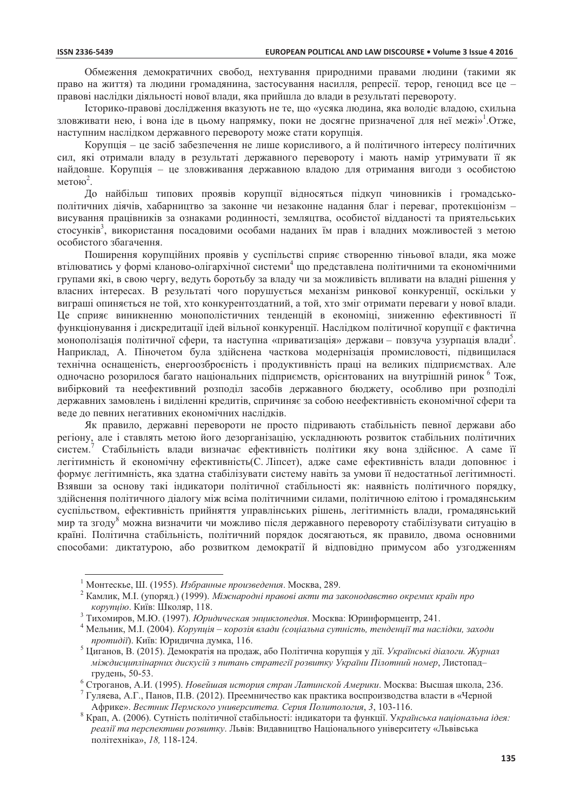Обмеження демократичних свобод, нехтування природними правами людини (такими як право на життя) та людини громадянина, застосування насилля, репресії. терор, геноцид все це правові наслідки діяльності нової влади, яка прийшла до влади в результаті перевороту.

Історико-правові дослідження вказують не те, що «усяка людина, яка володіє владою, схильна зловживати нею, і вона іде в цьому напрямку, поки не досягне призначеної для неї межі»<sup>1</sup>.Отже, наступним наслілком державного перевороту може стати корупція.

Корупція – не засіб забезпечення не лише корисливого, а й політичного інтересу політичних сил, які отримали владу в результаті державного перевороту і мають намір утримувати її як найдовше. Корупція - це зловживання державною владою для отримання вигоди з особистою метою<sup>2</sup>.

До найбільш типових проявів корупції відносяться підкуп чиновників і громадськополітичних діячів, хабарництво за законне чи незаконне надання благ і переваг, протекціонізм висування працівників за ознаками родинності, земляцтва, особистої відданості та приятельських стосунків<sup>3</sup>, використання посадовими особами наданих їм прав і владних можливостей з метою особистого збагачення.

Поширення корупційних проявів у суспільстві сприяє створенню тіньової влади, яка може втілюватись у формі кланово-олігархічної системи<sup>4</sup> що представлена політичними та економічними групами які, в свою чергу, ведуть боротьбу за владу чи за можливість впливати на владні рішення у власних інтересах. В результаті чого порушується механізм ринкової конкуренції, оскільки у виграші опиняється не той, хто конкурентоздатний, а той, хто зміг отримати переваги у нової влади. Це сприяє виникненню монополістичних тенденцій в економіці, зниженню ефективності її функціонування і дискредитації ідей вільної конкуренції. Наслідком політичної корупції є фактична монополізація політичної сфери, та наступна «приватизація» держави – повзуча узурпація влади<sup>5</sup>. Наприклад, А. Піночетом була здійснена часткова модернізація промисловості, підвищилася технічна оснащеність, енергоозброєність і продуктивність праці на великих підприємствах. Але одночасно розорилося багато національних підприємств, орієнтованих на внутрішній ринок <sup>6</sup> Тож, вибірковий та неефективний розподіл засобів державного бюджету, особливо при розподілі державних замовлень і виділенні кредитів, спричиняє за собою неефективність економічної сфери та веде до певних негативних економічних наслідків.

Як правило, державні перевороти не просто підривають стабільність певної держави або регіону, але і ставлять метою його дезорганізацію, ускладнюють розвиток стабільних політичних систем.<sup>7</sup> Стабільність влади визначає ефективність політики яку вона здійснює. А саме її легітимність й економічну ефективність (С. Ліпсет), адже саме ефективність влади доповнює і формує легітимність, яка здатна стабілізувати систему навіть за умови її недостатньої легітимності. Взявши за основу такі індикатори політичної стабільності як: наявність політичного порядку, здійснення політичного діалогу між всіма політичними силами, політичною елітою і громадянським суспільством, ефективність прийняття управлінських рішень, легітимність влади, громадянський мир та згоду<sup>8</sup> можна визначити чи можливо після державного перевороту стабілізувати ситуацію в країні. Політична стабільність, політичний порялок лосягаються, як правило, лвома основними способами: диктатурою, або розвитком демократії й відповідно примусом або узгодженням

 $\frac{7}{7}$ Гуляева, А.Г., Панов, П.В. (2012). Преемничество как практика воспроизводства власти в «Черной Африке». Вестник Пермского университета. Серия Политология, 3, 103-116.

<sup>&</sup>lt;sup>1</sup> Монтескье. Ш. (1955). Избранные произведения. Москва, 289.

<sup>&</sup>lt;sup>2</sup> Камлик, М.І. (упоряд.) (1999). *Міжнародні правові акти та законодавство окремих країн про* корупиію. Київ: Школяр, 118.

<sup>3</sup> Тихомиров, М.Ю. (1997). Юридическая энциклопедия. Москва: Юринформцентр, 241.

Мельник, М.І. (2004). Корупція – корозія влади (соціальна сутність, тенденції та наслідки, заходи протидії). Київ: Юридична думка, 116.

<sup>5</sup> Пиганов, В. (2015). Лемократія на пролаж, або Політична корупція у дії. Українські діалоги. Журнал міждисциплінарних дискусій з питань стратегії розвитку України Пілотний номер, Листопадгрудень, 50-53.

е Строганов, А.И. (1995). Новейшая история стран Латинской Америки. Москва: Высшая школа, 236.

<sup>&</sup>lt;sup>8</sup> Крап, А. (2006). Сутність політичної стабільності: індикатори та функції. Українська національна ідея: реалії та перспективи розвитку. Львів: Видавництво Національного університету «Львівська політехніка», 18, 118-124.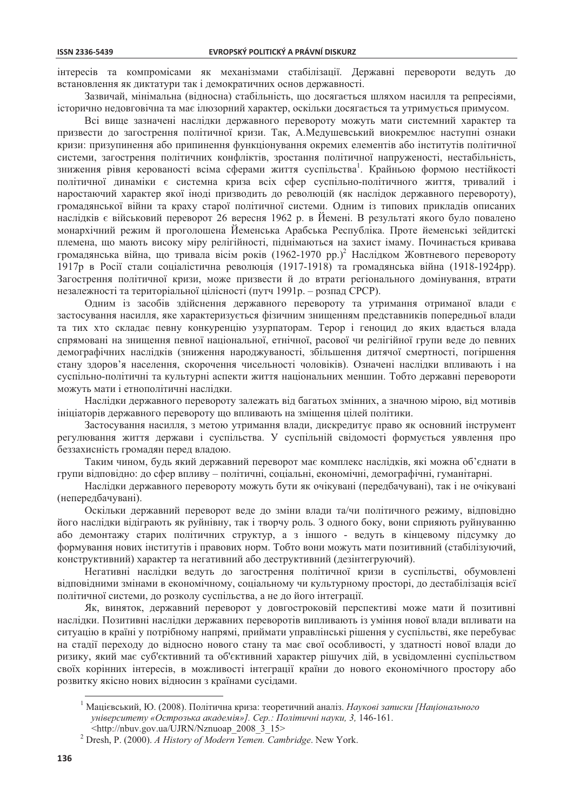інтересів та компромісами як механізмами стабілізації. Державні перевороти ведуть до встановлення як диктатури так і демократичних основ державності.

Зазвичай, мінімальна (відносна) стабільність, що досягається шляхом насилля та репресіями, історично недовговічна та має ілюзорний характер, оскільки досягається та утримується примусом.

Всі вище зазначені наслідки державного перевороту можуть мати системний характер та призвести до загострення політичної кризи. Так, А.Медушевський виокремлює наступні ознаки кризи: призупинення або припинення функціонування окремих елементів або інститутів політичної системи, загострення політичних конфліктів, зростання політичної напруженості, нестабільність, зниження рівня керованості всіма сферами життя суспільства<sup>1</sup>. Крайньою формою нестійкості політичної динаміки є системна криза всіх сфер суспільно-політичного життя, тривалий і наростаючий характер якої іноді призводить до революцій (як наслідок державного перевороту), громадянської війни та краху старої політичної системи. Одним із типових прикладів описаних наслідків є військовий переворот 26 вересня 1962 р. в Йемені. В результаті якого було повалено монархічний режим й проголошена Йеменська Арабська Республіка. Проте йеменські зейдитскі племена, що мають високу міру релігійності, піднімаються на захист імаму. Починається кривава громадянська війна, що тривала вісім років  $(1962-1970 \text{ pp.})^2$  Наслідком Жовтневого перевороту 1917р в Росії стали соціалістична революція (1917-1918) та громадянська війна (1918-1924рр). Загострення політичної кризи, може призвести й до втрати регіонального домінування, втрати незалежності та територіальної цілісності (путч 1991р. – розпад СРСР).

Одним із засобів здійснення державного перевороту та утримання отриманої влади є застосування насилля, яке характеризується фізичним знищенням представників попередньої влади та тих хто складає певну конкуренцію узурпаторам. Терор і геноцид до яких вдається влада спрямовані на знищення певної національної, етнічної, расової чи релігійної групи веде до певних демографічних наслідків (зниження народжуваності, збільшення дитячої смертності, погіршення стану здоров'я населення, скорочення чисельності чоловіків). Означені наслідки впливають і на суспільно-політичні та культурні аспекти життя національних меншин. Тобто державні перевороти можуть мати і етнополітичні наслідки.

Наслідки державного перевороту залежать від багатьох змінних, а значною мірою, від мотивів ініціаторів державного перевороту що впливають на зміщення цілей політики.

Застосування насилля, з метою утримання влади, дискредитує право як основний інструмент регулювання життя держави і суспільства. У суспільній свідомості формується уявлення про беззахисність громадян перед владою.

Таким чином, будь який державний переворот має комплекс наслідків, які можна об'єднати в групи відповідно: до сфер впливу – політичні, соціальні, економічні, демографічні, гуманітарні.

Наслідки державного перевороту можуть бути як очікувані (передбачувані), так і не очікувані (непередбачувані).

Оскільки державний переворот веде до зміни влади та/чи політичного режиму, відповідно його наслідки відіграють як руйнівну, так і творчу роль. З одного боку, вони сприяють руйнуванню або демонтажу старих політичних структур, а з іншого - ведуть в кінцевому підсумку до формування нових інститутів і правових норм. Тобто вони можуть мати позитивний (стабілізуючий, конструктивний) характер та негативний або деструктивний (дезінтегруючий).

Негативні наслідки ведуть до загострення політичної кризи в суспільстві, обумовлені відповідними змінами в економічному, соціальному чи культурному просторі, до дестабілізація всієї політичної системи, до розколу суспільства, а не до його інтеграції.

Як, виняток, державний переворот у довгостроковій перспективі може мати й позитивні наслідки. Позитивні наслідки державних переворотів випливають із уміння нової влади впливати на ситуацію в країні у потрібному напрямі, приймати управлінські рішення у суспільстві, яке перебуває на стадії переходу до відносно нового стану та має свої особливості, у здатності нової влади до ризику, який має суб'єктивний та об'єктивний характер рішучих дій, в усвідомленні суспільством своїх корінних інтересів, в можливості інтеграції країни до нового економічного простору або розвитку якісно нових вілносин з країнами сусілами.

<sup>&</sup>lt;sup>1</sup> Мацієвський, Ю. (2008). Політична криза: теоретичний аналіз. Наукові записки [Національного університету «Острозька академія»]. Сер.: Політичні науки, 3, 146-161.

<sup>&</sup>lt;http://nbuv.gov.ua/UJRN/Nznuoap 2008 3 15>

<sup>&</sup>lt;sup>2</sup> Dresh, P. (2000). A History of Modern Yemen. Cambridge. New York.